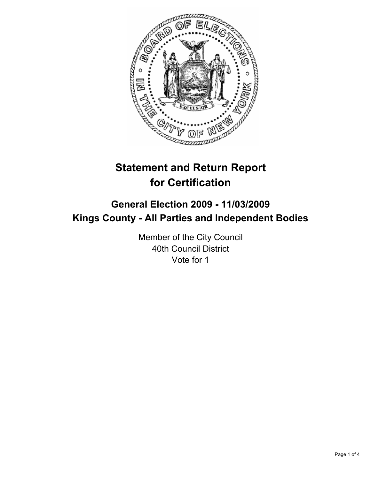

# **Statement and Return Report for Certification**

# **General Election 2009 - 11/03/2009 Kings County - All Parties and Independent Bodies**

Member of the City Council 40th Council District Vote for 1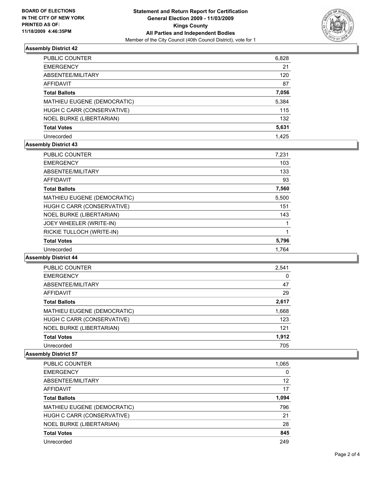

# **Assembly District 42**

| PUBLIC COUNTER                  | 6,828 |
|---------------------------------|-------|
| <b>EMERGENCY</b>                | 21    |
| ABSENTEE/MILITARY               | 120   |
| AFFIDAVIT                       | 87    |
| <b>Total Ballots</b>            | 7,056 |
| MATHIEU EUGENE (DEMOCRATIC)     | 5,384 |
| HUGH C CARR (CONSERVATIVE)      | 115   |
| <b>NOEL BURKE (LIBERTARIAN)</b> | 132   |
| <b>Total Votes</b>              | 5,631 |
| Unrecorded                      | 1.425 |

# **Assembly District 43**

| <b>PUBLIC COUNTER</b>           | 7,231 |
|---------------------------------|-------|
| <b>EMERGENCY</b>                | 103   |
| ABSENTEE/MILITARY               | 133   |
| <b>AFFIDAVIT</b>                | 93    |
| <b>Total Ballots</b>            | 7,560 |
| MATHIEU EUGENE (DEMOCRATIC)     | 5,500 |
| HUGH C CARR (CONSERVATIVE)      | 151   |
| <b>NOEL BURKE (LIBERTARIAN)</b> | 143   |
| JOEY WHEELER (WRITE-IN)         |       |
| RICKIE TULLOCH (WRITE-IN)       |       |
| <b>Total Votes</b>              | 5,796 |
| Unrecorded                      | 1.764 |

#### **Assembly District 44**

| PUBLIC COUNTER              | 2,541 |
|-----------------------------|-------|
| <b>EMERGENCY</b>            | 0     |
| ABSENTEE/MILITARY           | 47    |
| AFFIDAVIT                   | 29    |
| <b>Total Ballots</b>        | 2,617 |
| MATHIEU EUGENE (DEMOCRATIC) | 1,668 |
| HUGH C CARR (CONSERVATIVE)  | 123   |
| NOEL BURKE (LIBERTARIAN)    | 121   |
| <b>Total Votes</b>          | 1,912 |
| Unrecorded                  | 705   |

# **Assembly District 57**

| PUBLIC COUNTER                  | 1,065 |
|---------------------------------|-------|
| <b>EMERGENCY</b>                | 0     |
| ABSENTEE/MILITARY               | 12    |
| <b>AFFIDAVIT</b>                | 17    |
| <b>Total Ballots</b>            | 1,094 |
| MATHIEU EUGENE (DEMOCRATIC)     | 796   |
| HUGH C CARR (CONSERVATIVE)      | 21    |
| <b>NOEL BURKE (LIBERTARIAN)</b> | 28    |
| <b>Total Votes</b>              | 845   |
| Unrecorded                      | 249   |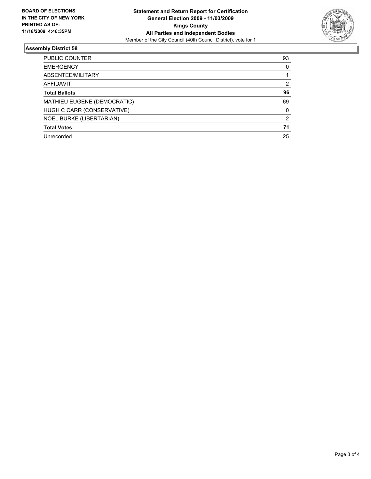

# **Assembly District 58**

| PUBLIC COUNTER                  | 93 |
|---------------------------------|----|
| <b>EMERGENCY</b>                | 0  |
| ABSENTEE/MILITARY               |    |
| AFFIDAVIT                       | 2  |
| <b>Total Ballots</b>            | 96 |
| MATHIEU EUGENE (DEMOCRATIC)     | 69 |
| HUGH C CARR (CONSERVATIVE)      | 0  |
| <b>NOEL BURKE (LIBERTARIAN)</b> | 2  |
| <b>Total Votes</b>              | 71 |
| Unrecorded                      | 25 |